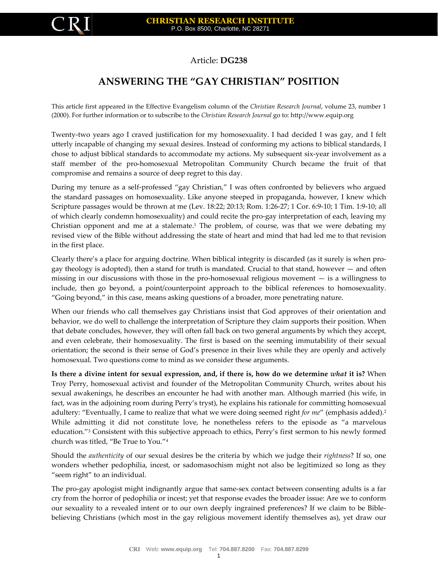

## Article: **DG238**

## **ANSWERING THE "GAY CHRISTIAN" POSITION**

This article first appeared in the Effective Evangelism column of the *Christian Research Journal*, volume 23, number 1 (2000). For further information or to subscribe to the *Christian Research Journal* go to: [http://www.equip.org](http://www.equip.org/)

Twenty-two years ago I craved justification for my homosexuality. I had decided I was gay, and I felt utterly incapable of changing my sexual desires. Instead of conforming my actions to biblical standards, I chose to adjust biblical standards to accommodate my actions. My subsequent six-year involvement as a staff member of the pro-homosexual Metropolitan Community Church became the fruit of that compromise and remains a source of deep regret to this day.

During my tenure as a self-professed "gay Christian," I was often confronted by believers who argued the standard passages on homosexuality. Like anyone steeped in propaganda, however, I knew which Scripture passages would be thrown at me (Lev. 18:22; 20:13; Rom. 1:26-27; 1 Cor. 6:9-10; 1 Tim. 1:9-10; all of which clearly condemn homosexuality) and could recite the pro-gay interpretation of each, leaving my Christian opponent and me at a stalemate.<sup>1</sup> The problem, of course, was that we were debating my revised view of the Bible without addressing the state of heart and mind that had led me to that revision in the first place.

Clearly there's a place for arguing doctrine. When biblical integrity is discarded (as it surely is when progay theology is adopted), then a stand for truth is mandated. Crucial to that stand, however — and often missing in our discussions with those in the pro-homosexual religious movement  $-$  is a willingness to include, then go beyond, a point/counterpoint approach to the biblical references to homosexuality. "Going beyond," in this case, means asking questions of a broader, more penetrating nature.

When our friends who call themselves gay Christians insist that God approves of their orientation and behavior, we do well to challenge the interpretation of Scripture they claim supports their position. When that debate concludes, however, they will often fall back on two general arguments by which they accept, and even celebrate, their homosexuality. The first is based on the seeming immutability of their sexual orientation; the second is their sense of God's presence in their lives while they are openly and actively homosexual. Two questions come to mind as we consider these arguments.

**Is there a divine intent for sexual expression, and, if there is, how do we determine** *what* **it is?** When Troy Perry, homosexual activist and founder of the Metropolitan Community Church, writes about his sexual awakenings, he describes an encounter he had with another man. Although married (his wife, in fact, was in the adjoining room during Perry's tryst), he explains his rationale for committing homosexual adultery: "Eventually, I came to realize that what we were doing seemed right *for me*" (emphasis added).<sup>2</sup> While admitting it did not constitute love, he nonetheless refers to the episode as "a marvelous education."<sup>3</sup> Consistent with this subjective approach to ethics, Perry's first sermon to his newly formed church was titled, "Be True to You."<sup>4</sup>

Should the *authenticity* of our sexual desires be the criteria by which we judge their *rightness*? If so, one wonders whether pedophilia, incest, or sadomasochism might not also be legitimized so long as they "seem right" to an individual.

The pro-gay apologist might indignantly argue that same-sex contact between consenting adults is a far cry from the horror of pedophilia or incest; yet that response evades the broader issue: Are we to conform our sexuality to a revealed intent or to our own deeply ingrained preferences? If we claim to be Biblebelieving Christians (which most in the gay religious movement identify themselves as), yet draw our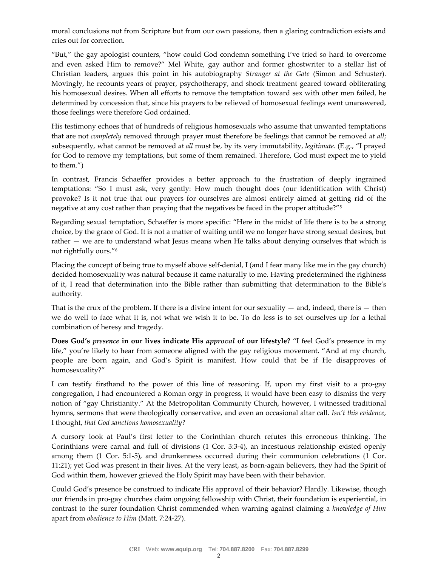moral conclusions not from Scripture but from our own passions, then a glaring contradiction exists and cries out for correction.

"But," the gay apologist counters, "how could God condemn something I've tried so hard to overcome and even asked Him to remove?" Mel White, gay author and former ghostwriter to a stellar list of Christian leaders, argues this point in his autobiography *Stranger at the Gate* (Simon and Schuster). Movingly, he recounts years of prayer, psychotherapy, and shock treatment geared toward obliterating his homosexual desires. When all efforts to remove the temptation toward sex with other men failed, he determined by concession that, since his prayers to be relieved of homosexual feelings went unanswered, those feelings were therefore God ordained.

His testimony echoes that of hundreds of religious homosexuals who assume that unwanted temptations that are not *completely* removed through prayer must therefore be feelings that cannot be removed *at all*; subsequently, what cannot be removed *at all* must be, by its very immutability, *legitimate*. (E.g., "I prayed for God to remove my temptations, but some of them remained. Therefore, God must expect me to yield to them.")

In contrast, Francis Schaeffer provides a better approach to the frustration of deeply ingrained temptations: "So I must ask, very gently: How much thought does (our identification with Christ) provoke? Is it not true that our prayers for ourselves are almost entirely aimed at getting rid of the negative at any cost rather than praying that the negatives be faced in the proper attitude?"<sup>5</sup>

Regarding sexual temptation, Schaeffer is more specific: "Here in the midst of life there is to be a strong choice, by the grace of God. It is not a matter of waiting until we no longer have strong sexual desires, but rather — we are to understand what Jesus means when He talks about denying ourselves that which is not rightfully ours."<sup>6</sup>

Placing the concept of being true to myself above self-denial, I (and I fear many like me in the gay church) decided homosexuality was natural because it came naturally to me. Having predetermined the rightness of it, I read that determination into the Bible rather than submitting that determination to the Bible's authority.

That is the crux of the problem. If there is a divine intent for our sexuality  $-$  and, indeed, there is  $-$  then we do well to face what it is, not what we wish it to be. To do less is to set ourselves up for a lethal combination of heresy and tragedy.

**Does God's** *presence* **in our lives indicate His** *approval* **of our lifestyle?** "I feel God's presence in my life," you're likely to hear from someone aligned with the gay religious movement. "And at my church, people are born again, and God's Spirit is manifest. How could that be if He disapproves of homosexuality?"

I can testify firsthand to the power of this line of reasoning. If, upon my first visit to a pro-gay congregation, I had encountered a Roman orgy in progress, it would have been easy to dismiss the very notion of "gay Christianity." At the Metropolitan Community Church, however, I witnessed traditional hymns, sermons that were theologically conservative, and even an occasional altar call. *Isn't this evidence*, I thought, *that God sanctions homosexuality?*

A cursory look at Paul's first letter to the Corinthian church refutes this erroneous thinking. The Corinthians were carnal and full of divisions (1 Cor. 3:3-4), an incestuous relationship existed openly among them (1 Cor. 5:1-5), and drunkenness occurred during their communion celebrations (1 Cor. 11:21); yet God was present in their lives. At the very least, as born-again believers, they had the Spirit of God within them, however grieved the Holy Spirit may have been with their behavior.

Could God's presence be construed to indicate His approval of their behavior? Hardly. Likewise, though our friends in pro-gay churches claim ongoing fellowship with Christ, their foundation is experiential, in contrast to the surer foundation Christ commended when warning against claiming a *knowledge of Him* apart from *obedience to Him* (Matt. 7:24-27).